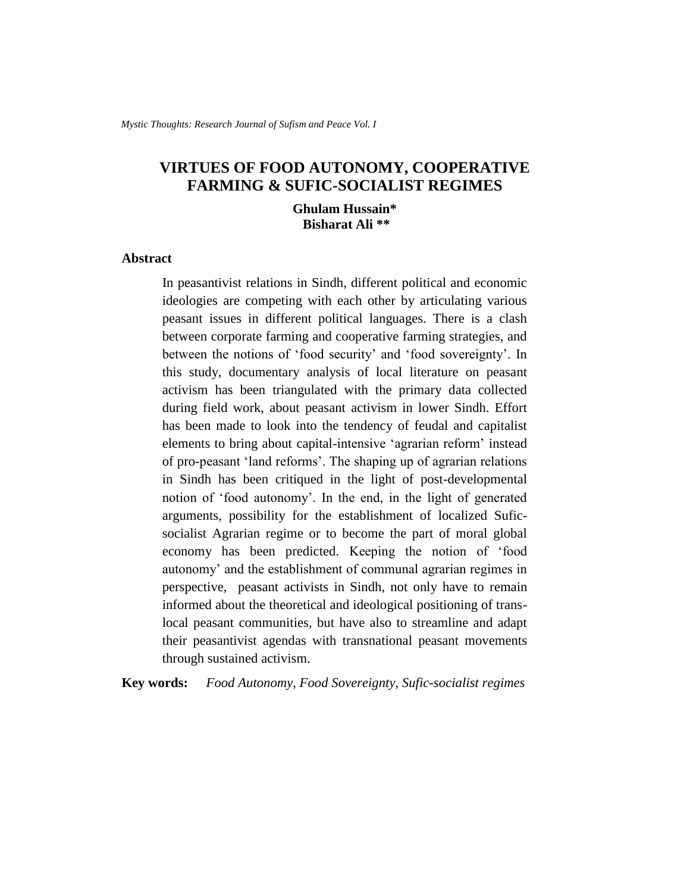# **VIRTUES OF FOOD AUTONOMY, COOPERATIVE FARMING & SUFIC-SOCIALIST REGIMES**

**Ghulam Hussain\* Bisharat Ali \*\***

#### **Abstract**

In peasantivist relations in Sindh, different political and economic ideologies are competing with each other by articulating various peasant issues in different political languages. There is a clash between corporate farming and cooperative farming strategies, and between the notions of "food security" and "food sovereignty". In this study, documentary analysis of local literature on peasant activism has been triangulated with the primary data collected during field work, about peasant activism in lower Sindh. Effort has been made to look into the tendency of feudal and capitalist elements to bring about capital-intensive "agrarian reform" instead of pro-peasant "land reforms". The shaping up of agrarian relations in Sindh has been critiqued in the light of post-developmental notion of "food autonomy". In the end, in the light of generated arguments, possibility for the establishment of localized Suficsocialist Agrarian regime or to become the part of moral global economy has been predicted. Keeping the notion of "food autonomy" and the establishment of communal agrarian regimes in perspective, peasant activists in Sindh, not only have to remain informed about the theoretical and ideological positioning of translocal peasant communities, but have also to streamline and adapt their peasantivist agendas with transnational peasant movements through sustained activism.

**Key words:** *Food Autonomy, Food Sovereignty, Sufic-socialist regimes*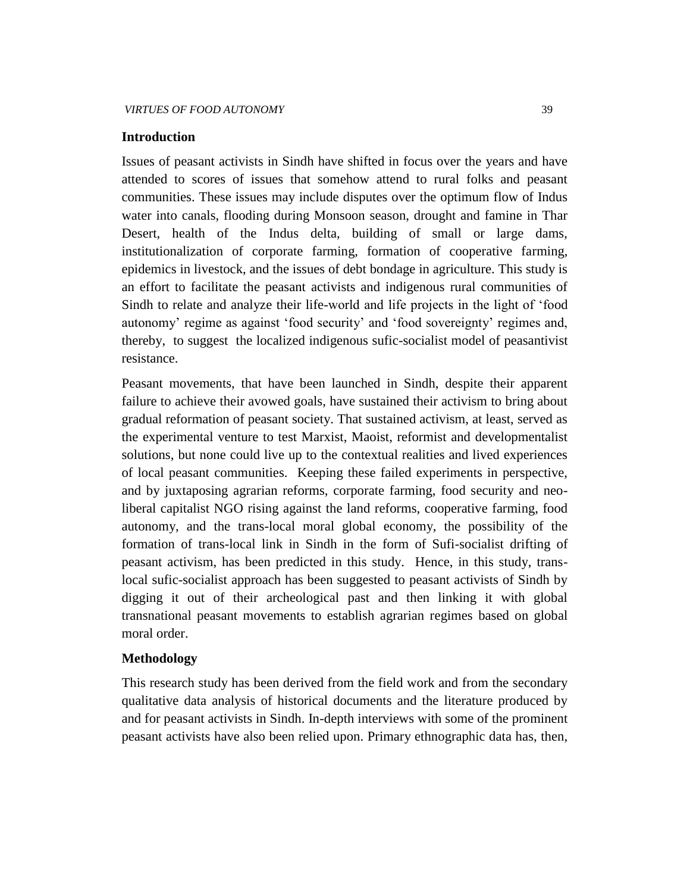### **Introduction**

Issues of peasant activists in Sindh have shifted in focus over the years and have attended to scores of issues that somehow attend to rural folks and peasant communities. These issues may include disputes over the optimum flow of Indus water into canals, flooding during Monsoon season, drought and famine in Thar Desert, health of the Indus delta, building of small or large dams, institutionalization of corporate farming, formation of cooperative farming, epidemics in livestock, and the issues of debt bondage in agriculture. This study is an effort to facilitate the peasant activists and indigenous rural communities of Sindh to relate and analyze their life-world and life projects in the light of "food autonomy" regime as against "food security" and "food sovereignty" regimes and, thereby, to suggest the localized indigenous sufic-socialist model of peasantivist resistance.

Peasant movements, that have been launched in Sindh, despite their apparent failure to achieve their avowed goals, have sustained their activism to bring about gradual reformation of peasant society. That sustained activism, at least, served as the experimental venture to test Marxist, Maoist, reformist and developmentalist solutions, but none could live up to the contextual realities and lived experiences of local peasant communities. Keeping these failed experiments in perspective, and by juxtaposing agrarian reforms, corporate farming, food security and neoliberal capitalist NGO rising against the land reforms, cooperative farming, food autonomy, and the trans-local moral global economy, the possibility of the formation of trans-local link in Sindh in the form of Sufi-socialist drifting of peasant activism, has been predicted in this study. Hence, in this study, translocal sufic-socialist approach has been suggested to peasant activists of Sindh by digging it out of their archeological past and then linking it with global transnational peasant movements to establish agrarian regimes based on global moral order.

# **Methodology**

This research study has been derived from the field work and from the secondary qualitative data analysis of historical documents and the literature produced by and for peasant activists in Sindh. In-depth interviews with some of the prominent peasant activists have also been relied upon. Primary ethnographic data has, then,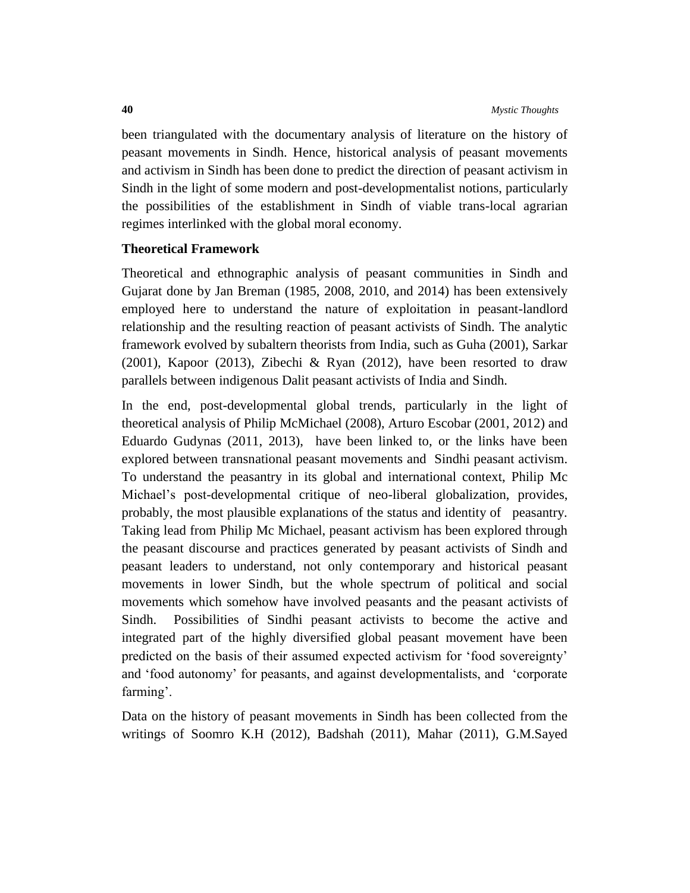been triangulated with the documentary analysis of literature on the history of peasant movements in Sindh. Hence, historical analysis of peasant movements and activism in Sindh has been done to predict the direction of peasant activism in Sindh in the light of some modern and post-developmentalist notions, particularly the possibilities of the establishment in Sindh of viable trans-local agrarian regimes interlinked with the global moral economy.

# **Theoretical Framework**

Theoretical and ethnographic analysis of peasant communities in Sindh and Gujarat done by Jan Breman (1985, 2008, 2010, and 2014) has been extensively employed here to understand the nature of exploitation in peasant-landlord relationship and the resulting reaction of peasant activists of Sindh. The analytic framework evolved by subaltern theorists from India, such as Guha (2001), Sarkar (2001), Kapoor (2013), Zibechi & Ryan (2012), have been resorted to draw parallels between indigenous Dalit peasant activists of India and Sindh.

In the end, post-developmental global trends, particularly in the light of theoretical analysis of Philip McMichael (2008), Arturo Escobar (2001, 2012) and Eduardo Gudynas (2011, 2013), have been linked to, or the links have been explored between transnational peasant movements and Sindhi peasant activism. To understand the peasantry in its global and international context, Philip Mc Michael"s post-developmental critique of neo-liberal globalization, provides, probably, the most plausible explanations of the status and identity of peasantry. Taking lead from Philip Mc Michael, peasant activism has been explored through the peasant discourse and practices generated by peasant activists of Sindh and peasant leaders to understand, not only contemporary and historical peasant movements in lower Sindh, but the whole spectrum of political and social movements which somehow have involved peasants and the peasant activists of Sindh. Possibilities of Sindhi peasant activists to become the active and integrated part of the highly diversified global peasant movement have been predicted on the basis of their assumed expected activism for "food sovereignty" and "food autonomy" for peasants, and against developmentalists, and "corporate farming'.

Data on the history of peasant movements in Sindh has been collected from the writings of Soomro K.H (2012), Badshah (2011), Mahar (2011), G.M.Sayed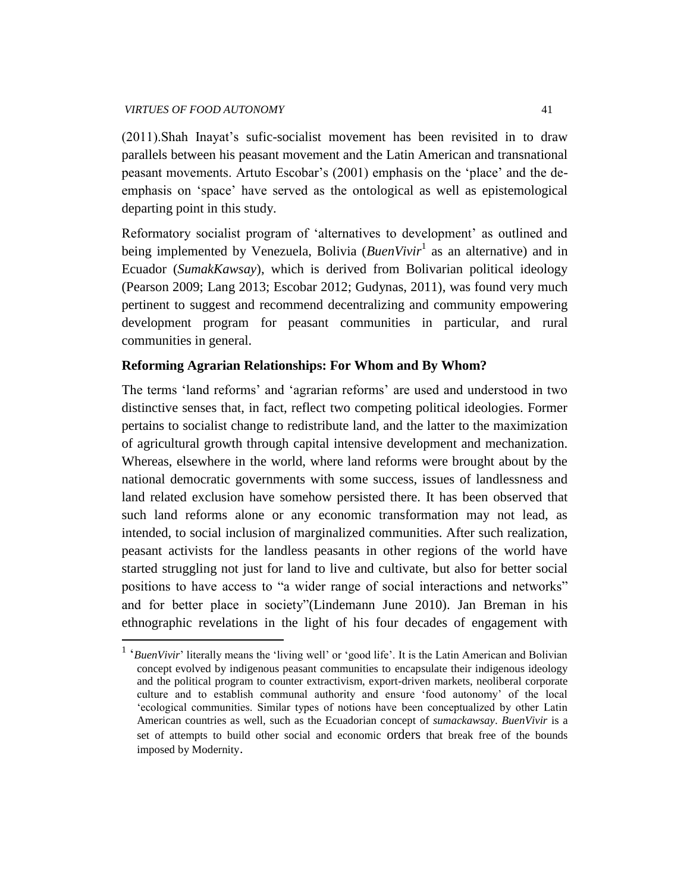$\overline{a}$ 

(2011).Shah Inayat"s sufic-socialist movement has been revisited in to draw parallels between his peasant movement and the Latin American and transnational peasant movements. Artuto Escobar"s (2001) emphasis on the "place" and the deemphasis on "space" have served as the ontological as well as epistemological departing point in this study.

Reformatory socialist program of 'alternatives to development' as outlined and being implemented by Venezuela, Bolivia (*BuenVivir*<sup>1</sup> as an alternative) and in Ecuador (*SumakKawsay*), which is derived from Bolivarian political ideology (Pearson 2009; Lang 2013; Escobar 2012; Gudynas, 2011), was found very much pertinent to suggest and recommend decentralizing and community empowering development program for peasant communities in particular, and rural communities in general.

# **Reforming Agrarian Relationships: For Whom and By Whom?**

The terms 'land reforms' and 'agrarian reforms' are used and understood in two distinctive senses that, in fact, reflect two competing political ideologies. Former pertains to socialist change to redistribute land, and the latter to the maximization of agricultural growth through capital intensive development and mechanization. Whereas, elsewhere in the world, where land reforms were brought about by the national democratic governments with some success, issues of landlessness and land related exclusion have somehow persisted there. It has been observed that such land reforms alone or any economic transformation may not lead, as intended, to social inclusion of marginalized communities. After such realization, peasant activists for the landless peasants in other regions of the world have started struggling not just for land to live and cultivate, but also for better social positions to have access to "a wider range of social interactions and networks" and for better place in society"(Lindemann June 2010). Jan Breman in his ethnographic revelations in the light of his four decades of engagement with

<sup>&</sup>lt;sup>1</sup> 'BuenVivir' literally means the 'living well' or 'good life'. It is the Latin American and Bolivian concept evolved by indigenous peasant communities to encapsulate their indigenous ideology and the political program to counter extractivism, export-driven markets, neoliberal corporate culture and to establish communal authority and ensure "food autonomy" of the local "ecological communities. Similar types of notions have been conceptualized by other Latin American countries as well, such as the Ecuadorian concept of *sumackawsay*. *BuenVivir* is a set of attempts to build other social and economic orders that break free of the bounds imposed by Modernity.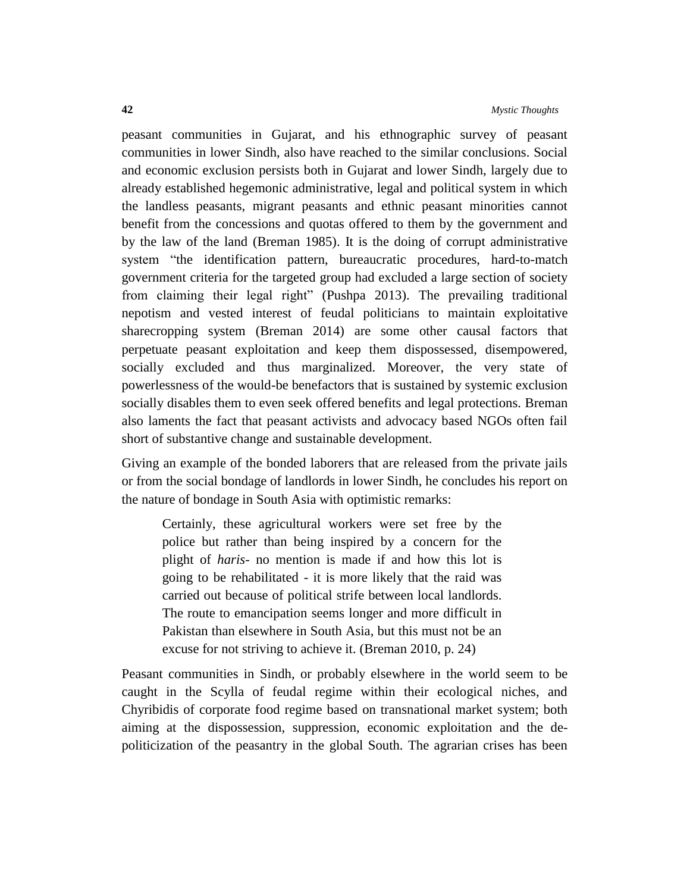peasant communities in Gujarat, and his ethnographic survey of peasant communities in lower Sindh, also have reached to the similar conclusions. Social and economic exclusion persists both in Gujarat and lower Sindh, largely due to already established hegemonic administrative, legal and political system in which the landless peasants, migrant peasants and ethnic peasant minorities cannot benefit from the concessions and quotas offered to them by the government and by the law of the land (Breman 1985). It is the doing of corrupt administrative system "the identification pattern, bureaucratic procedures, hard-to-match government criteria for the targeted group had excluded a large section of society from claiming their legal right" (Pushpa 2013). The prevailing traditional nepotism and vested interest of feudal politicians to maintain exploitative sharecropping system (Breman 2014) are some other causal factors that perpetuate peasant exploitation and keep them dispossessed, disempowered, socially excluded and thus marginalized. Moreover, the very state of powerlessness of the would-be benefactors that is sustained by systemic exclusion socially disables them to even seek offered benefits and legal protections. Breman also laments the fact that peasant activists and advocacy based NGOs often fail short of substantive change and sustainable development.

Giving an example of the bonded laborers that are released from the private jails or from the social bondage of landlords in lower Sindh, he concludes his report on the nature of bondage in South Asia with optimistic remarks:

Certainly, these agricultural workers were set free by the police but rather than being inspired by a concern for the plight of *haris*- no mention is made if and how this lot is going to be rehabilitated - it is more likely that the raid was carried out because of political strife between local landlords. The route to emancipation seems longer and more difficult in Pakistan than elsewhere in South Asia, but this must not be an excuse for not striving to achieve it. (Breman 2010, p. 24)

Peasant communities in Sindh, or probably elsewhere in the world seem to be caught in the Scylla of feudal regime within their ecological niches, and Chyribidis of corporate food regime based on transnational market system; both aiming at the dispossession, suppression, economic exploitation and the depoliticization of the peasantry in the global South. The agrarian crises has been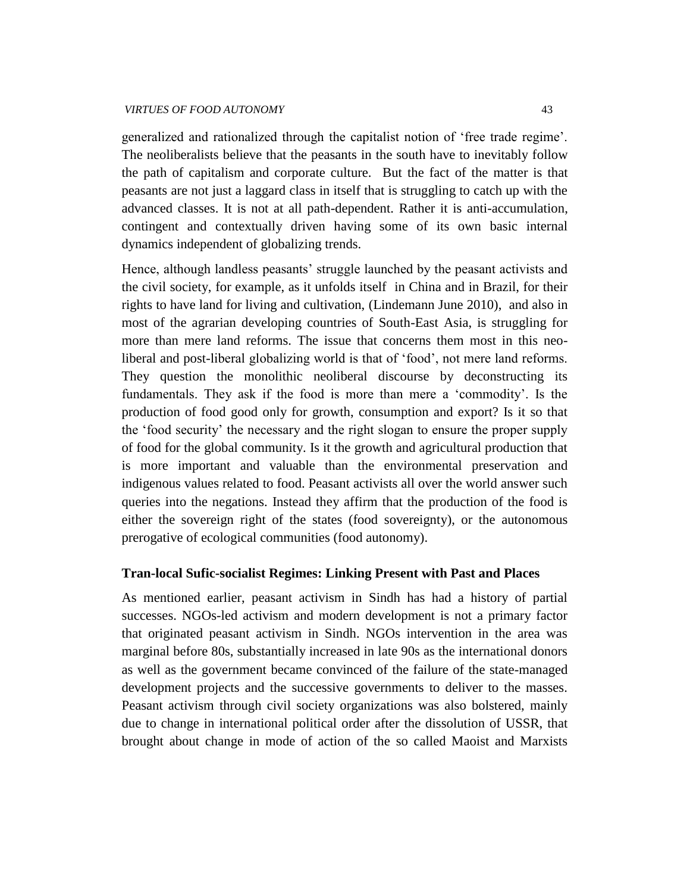#### *VIRTUES OF FOOD AUTONOMY* 43

generalized and rationalized through the capitalist notion of "free trade regime". The neoliberalists believe that the peasants in the south have to inevitably follow the path of capitalism and corporate culture. But the fact of the matter is that peasants are not just a laggard class in itself that is struggling to catch up with the advanced classes. It is not at all path-dependent. Rather it is anti-accumulation, contingent and contextually driven having some of its own basic internal dynamics independent of globalizing trends.

Hence, although landless peasants' struggle launched by the peasant activists and the civil society, for example, as it unfolds itself in China and in Brazil, for their rights to have land for living and cultivation, (Lindemann June 2010), and also in most of the agrarian developing countries of South-East Asia, is struggling for more than mere land reforms. The issue that concerns them most in this neoliberal and post-liberal globalizing world is that of 'food', not mere land reforms. They question the monolithic neoliberal discourse by deconstructing its fundamentals. They ask if the food is more than mere a "commodity". Is the production of food good only for growth, consumption and export? Is it so that the "food security" the necessary and the right slogan to ensure the proper supply of food for the global community. Is it the growth and agricultural production that is more important and valuable than the environmental preservation and indigenous values related to food. Peasant activists all over the world answer such queries into the negations. Instead they affirm that the production of the food is either the sovereign right of the states (food sovereignty), or the autonomous prerogative of ecological communities (food autonomy).

### **Tran-local Sufic-socialist Regimes: Linking Present with Past and Places**

As mentioned earlier, peasant activism in Sindh has had a history of partial successes. NGOs-led activism and modern development is not a primary factor that originated peasant activism in Sindh. NGOs intervention in the area was marginal before 80s, substantially increased in late 90s as the international donors as well as the government became convinced of the failure of the state-managed development projects and the successive governments to deliver to the masses. Peasant activism through civil society organizations was also bolstered, mainly due to change in international political order after the dissolution of USSR, that brought about change in mode of action of the so called Maoist and Marxists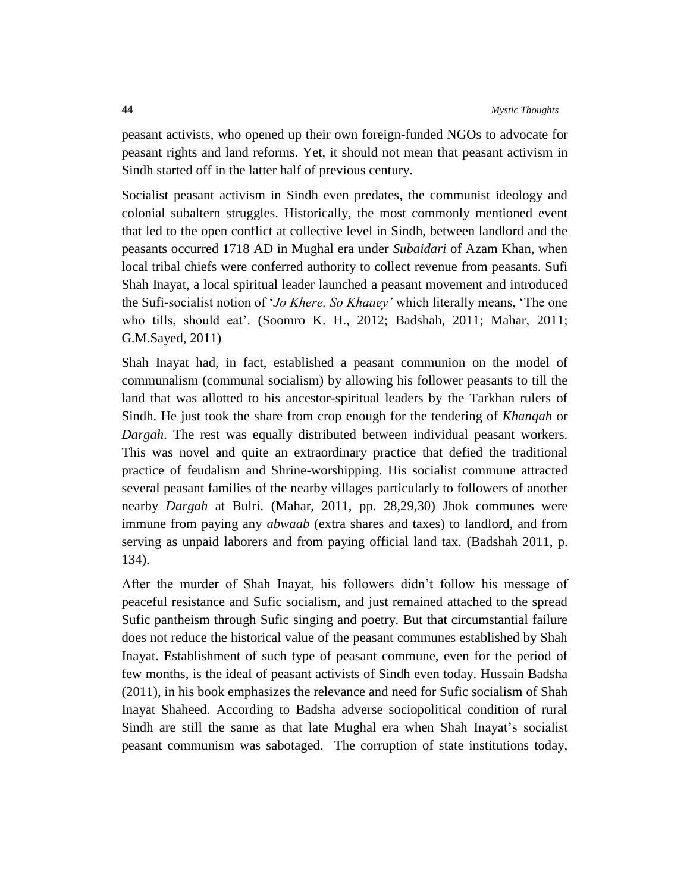peasant activists, who opened up their own foreign-funded NGOs to advocate for peasant rights and land reforms. Yet, it should not mean that peasant activism in Sindh started off in the latter half of previous century.

Socialist peasant activism in Sindh even predates, the communist ideology and colonial subaltern struggles. Historically, the most commonly mentioned event that led to the open conflict at collective level in Sindh, between landlord and the peasants occurred 1718 AD in Mughal era under *Subaidari* of Azam Khan, when local tribal chiefs were conferred authority to collect revenue from peasants. Sufi Shah Inayat, a local spiritual leader launched a peasant movement and introduced the Sufi-socialist notion of "*Jo Khere, So Khaaey'* which literally means, "The one who tills, should eat'. (Soomro K. H., 2012; Badshah, 2011; Mahar, 2011; G.M.Sayed, 2011)

Shah Inayat had, in fact, established a peasant communion on the model of communalism (communal socialism) by allowing his follower peasants to till the land that was allotted to his ancestor-spiritual leaders by the Tarkhan rulers of Sindh. He just took the share from crop enough for the tendering of *Khanqah* or *Dargah*. The rest was equally distributed between individual peasant workers. This was novel and quite an extraordinary practice that defied the traditional practice of feudalism and Shrine-worshipping. His socialist commune attracted several peasant families of the nearby villages particularly to followers of another nearby *Dargah* at Bulri. (Mahar, 2011, pp. 28,29,30) Jhok communes were immune from paying any *abwaab* (extra shares and taxes) to landlord, and from serving as unpaid laborers and from paying official land tax. (Badshah 2011, p. 134).

After the murder of Shah Inayat, his followers didn"t follow his message of peaceful resistance and Sufic socialism, and just remained attached to the spread Sufic pantheism through Sufic singing and poetry. But that circumstantial failure does not reduce the historical value of the peasant communes established by Shah Inayat. Establishment of such type of peasant commune, even for the period of few months, is the ideal of peasant activists of Sindh even today. Hussain Badsha (2011), in his book emphasizes the relevance and need for Sufic socialism of Shah Inayat Shaheed. According to Badsha adverse sociopolitical condition of rural Sindh are still the same as that late Mughal era when Shah Inayat"s socialist peasant communism was sabotaged. The corruption of state institutions today,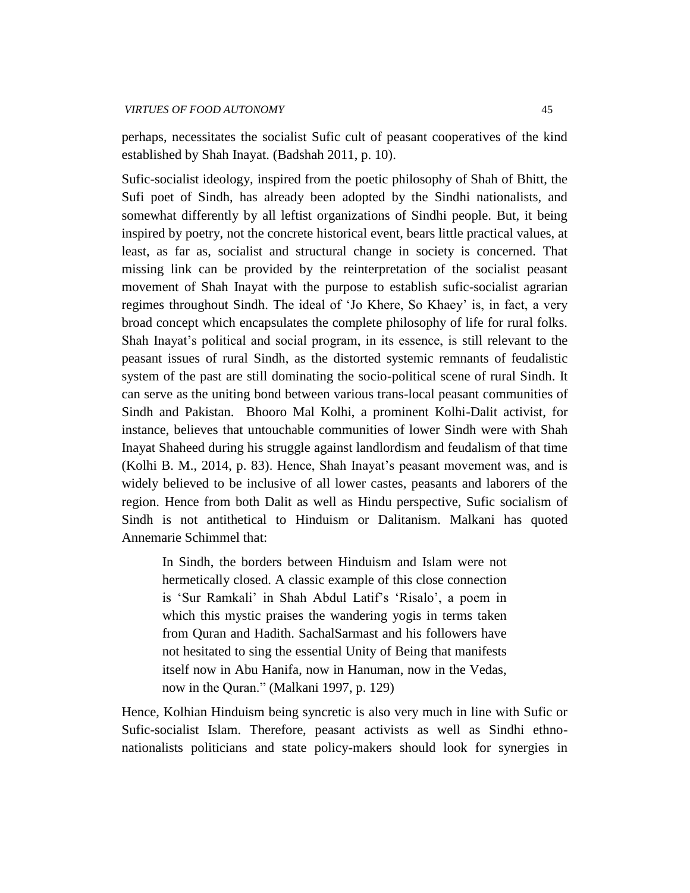perhaps, necessitates the socialist Sufic cult of peasant cooperatives of the kind established by Shah Inayat. (Badshah 2011, p. 10).

Sufic-socialist ideology, inspired from the poetic philosophy of Shah of Bhitt, the Sufi poet of Sindh, has already been adopted by the Sindhi nationalists, and somewhat differently by all leftist organizations of Sindhi people. But, it being inspired by poetry, not the concrete historical event, bears little practical values, at least, as far as, socialist and structural change in society is concerned. That missing link can be provided by the reinterpretation of the socialist peasant movement of Shah Inayat with the purpose to establish sufic-socialist agrarian regimes throughout Sindh. The ideal of "Jo Khere, So Khaey" is, in fact, a very broad concept which encapsulates the complete philosophy of life for rural folks. Shah Inayat's political and social program, in its essence, is still relevant to the peasant issues of rural Sindh, as the distorted systemic remnants of feudalistic system of the past are still dominating the socio-political scene of rural Sindh. It can serve as the uniting bond between various trans-local peasant communities of Sindh and Pakistan. Bhooro Mal Kolhi, a prominent Kolhi-Dalit activist, for instance, believes that untouchable communities of lower Sindh were with Shah Inayat Shaheed during his struggle against landlordism and feudalism of that time (Kolhi B. M., 2014, p. 83). Hence, Shah Inayat"s peasant movement was, and is widely believed to be inclusive of all lower castes, peasants and laborers of the region. Hence from both Dalit as well as Hindu perspective, Sufic socialism of Sindh is not antithetical to Hinduism or Dalitanism. Malkani has quoted Annemarie Schimmel that:

In Sindh, the borders between Hinduism and Islam were not hermetically closed. A classic example of this close connection is "Sur Ramkali" in Shah Abdul Latif"s "Risalo", a poem in which this mystic praises the wandering yogis in terms taken from Quran and Hadith. SachalSarmast and his followers have not hesitated to sing the essential Unity of Being that manifests itself now in Abu Hanifa, now in Hanuman, now in the Vedas, now in the Quran." (Malkani 1997, p. 129)

Hence, Kolhian Hinduism being syncretic is also very much in line with Sufic or Sufic-socialist Islam. Therefore, peasant activists as well as Sindhi ethnonationalists politicians and state policy-makers should look for synergies in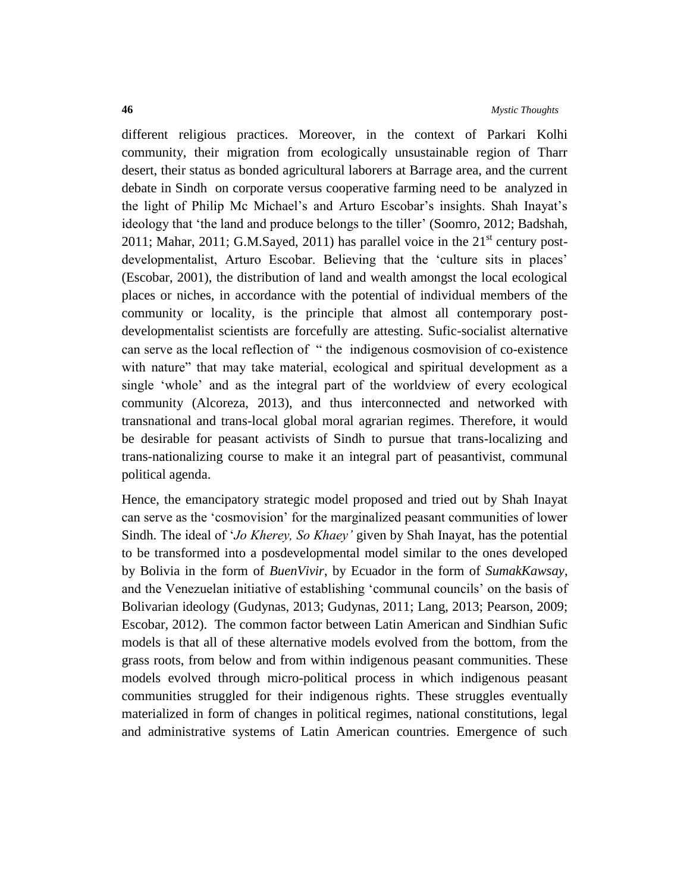different religious practices. Moreover, in the context of Parkari Kolhi community, their migration from ecologically unsustainable region of Tharr desert, their status as bonded agricultural laborers at Barrage area, and the current debate in Sindh on corporate versus cooperative farming need to be analyzed in the light of Philip Mc Michael"s and Arturo Escobar"s insights. Shah Inayat"s ideology that "the land and produce belongs to the tiller" (Soomro, 2012; Badshah, 2011; Mahar, 2011; G.M.Sayed, 2011) has parallel voice in the  $21<sup>st</sup>$  century postdevelopmentalist, Arturo Escobar. Believing that the 'culture sits in places' (Escobar, 2001), the distribution of land and wealth amongst the local ecological places or niches, in accordance with the potential of individual members of the community or locality, is the principle that almost all contemporary postdevelopmentalist scientists are forcefully are attesting. Sufic-socialist alternative can serve as the local reflection of " the indigenous cosmovision of co-existence with nature" that may take material, ecological and spiritual development as a single "whole" and as the integral part of the worldview of every ecological community (Alcoreza, 2013), and thus interconnected and networked with transnational and trans-local global moral agrarian regimes. Therefore, it would be desirable for peasant activists of Sindh to pursue that trans-localizing and trans-nationalizing course to make it an integral part of peasantivist, communal political agenda.

Hence, the emancipatory strategic model proposed and tried out by Shah Inayat can serve as the "cosmovision" for the marginalized peasant communities of lower Sindh. The ideal of "*Jo Kherey, So Khaey'* given by Shah Inayat, has the potential to be transformed into a posdevelopmental model similar to the ones developed by Bolivia in the form of *BuenVivir*, by Ecuador in the form of *SumakKawsay*, and the Venezuelan initiative of establishing "communal councils" on the basis of Bolivarian ideology (Gudynas, 2013; Gudynas, 2011; Lang, 2013; Pearson, 2009; Escobar, 2012). The common factor between Latin American and Sindhian Sufic models is that all of these alternative models evolved from the bottom, from the grass roots, from below and from within indigenous peasant communities. These models evolved through micro-political process in which indigenous peasant communities struggled for their indigenous rights. These struggles eventually materialized in form of changes in political regimes, national constitutions, legal and administrative systems of Latin American countries. Emergence of such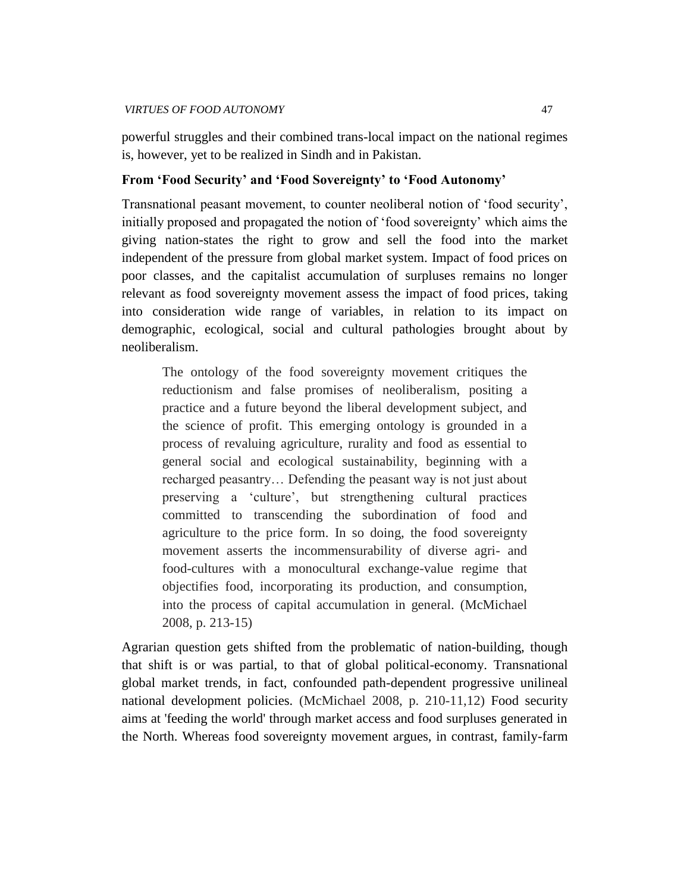powerful struggles and their combined trans-local impact on the national regimes is, however, yet to be realized in Sindh and in Pakistan.

# **From 'Food Security' and 'Food Sovereignty' to 'Food Autonomy'**

Transnational peasant movement, to counter neoliberal notion of "food security", initially proposed and propagated the notion of "food sovereignty" which aims the giving nation-states the right to grow and sell the food into the market independent of the pressure from global market system. Impact of food prices on poor classes, and the capitalist accumulation of surpluses remains no longer relevant as food sovereignty movement assess the impact of food prices, taking into consideration wide range of variables, in relation to its impact on demographic, ecological, social and cultural pathologies brought about by neoliberalism.

The ontology of the food sovereignty movement critiques the reductionism and false promises of neoliberalism, positing a practice and a future beyond the liberal development subject, and the science of profit. This emerging ontology is grounded in a process of revaluing agriculture, rurality and food as essential to general social and ecological sustainability, beginning with a recharged peasantry… Defending the peasant way is not just about preserving a "culture", but strengthening cultural practices committed to transcending the subordination of food and agriculture to the price form. In so doing, the food sovereignty movement asserts the incommensurability of diverse agri- and food-cultures with a monocultural exchange-value regime that objectifies food, incorporating its production, and consumption, into the process of capital accumulation in general. (McMichael 2008, p. 213-15)

Agrarian question gets shifted from the problematic of nation-building, though that shift is or was partial, to that of global political-economy. Transnational global market trends, in fact, confounded path-dependent progressive unilineal national development policies. (McMichael 2008, p. 210-11,12) Food security aims at 'feeding the world' through market access and food surpluses generated in the North. Whereas food sovereignty movement argues, in contrast, family-farm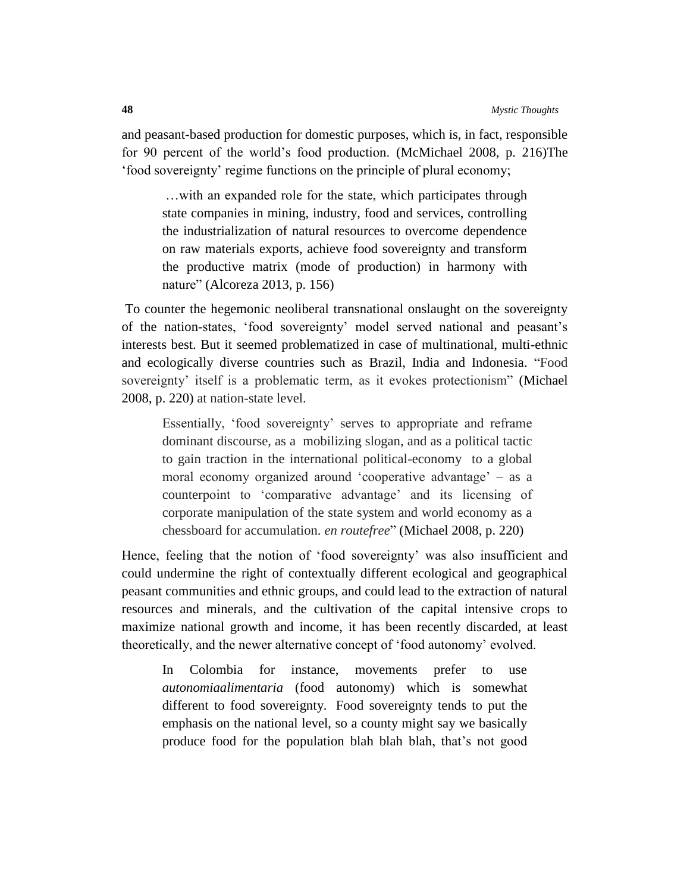and peasant-based production for domestic purposes, which is, in fact, responsible for 90 percent of the world"s food production. (McMichael 2008, p. 216)The "food sovereignty" regime functions on the principle of plural economy;

…with an expanded role for the state, which participates through state companies in mining, industry, food and services, controlling the industrialization of natural resources to overcome dependence on raw materials exports, achieve food sovereignty and transform the productive matrix (mode of production) in harmony with nature" (Alcoreza 2013, p. 156)

To counter the hegemonic neoliberal transnational onslaught on the sovereignty of the nation-states, "food sovereignty" model served national and peasant"s interests best. But it seemed problematized in case of multinational, multi-ethnic and ecologically diverse countries such as Brazil, India and Indonesia. "Food sovereignty' itself is a problematic term, as it evokes protectionism" (Michael 2008, p. 220) at nation-state level.

Essentially, 'food sovereignty' serves to appropriate and reframe dominant discourse, as a mobilizing slogan, and as a political tactic to gain traction in the international political-economy to a global moral economy organized around 'cooperative advantage' – as a counterpoint to "comparative advantage" and its licensing of corporate manipulation of the state system and world economy as a chessboard for accumulation. *en routefree*" (Michael 2008, p. 220)

Hence, feeling that the notion of "food sovereignty" was also insufficient and could undermine the right of contextually different ecological and geographical peasant communities and ethnic groups, and could lead to the extraction of natural resources and minerals, and the cultivation of the capital intensive crops to maximize national growth and income, it has been recently discarded, at least theoretically, and the newer alternative concept of "food autonomy" evolved.

In Colombia for instance, movements prefer to use *autonomiaalimentaria* (food autonomy) which is somewhat different to food sovereignty. Food sovereignty tends to put the emphasis on the national level, so a county might say we basically produce food for the population blah blah blah, that"s not good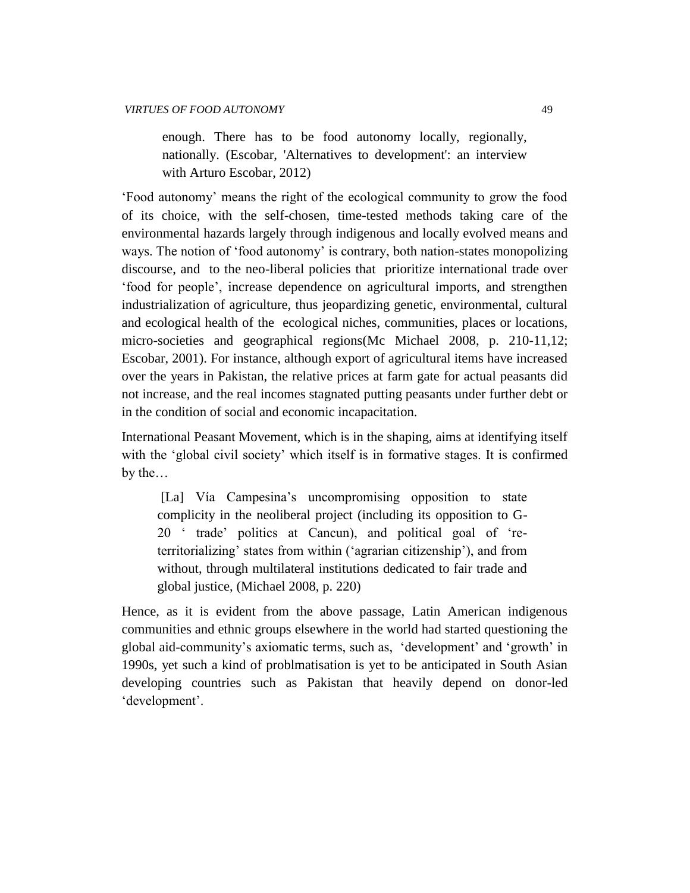enough. There has to be food autonomy locally, regionally, nationally. (Escobar, 'Alternatives to development': an interview with Arturo Escobar, 2012)

"Food autonomy" means the right of the ecological community to grow the food of its choice, with the self-chosen, time-tested methods taking care of the environmental hazards largely through indigenous and locally evolved means and ways. The notion of 'food autonomy' is contrary, both nation-states monopolizing discourse, and to the neo-liberal policies that prioritize international trade over "food for people", increase dependence on agricultural imports, and strengthen industrialization of agriculture, thus jeopardizing genetic, environmental, cultural and ecological health of the ecological niches, communities, places or locations, micro-societies and geographical regions(Mc Michael 2008, p. 210-11,12; Escobar, 2001). For instance, although export of agricultural items have increased over the years in Pakistan, the relative prices at farm gate for actual peasants did not increase, and the real incomes stagnated putting peasants under further debt or in the condition of social and economic incapacitation.

International Peasant Movement, which is in the shaping, aims at identifying itself with the 'global civil society' which itself is in formative stages. It is confirmed by the…

[La] Vía Campesina"s uncompromising opposition to state complicity in the neoliberal project (including its opposition to G-20 " trade" politics at Cancun), and political goal of "reterritorializing" states from within ("agrarian citizenship"), and from without, through multilateral institutions dedicated to fair trade and global justice, (Michael 2008, p. 220)

Hence, as it is evident from the above passage, Latin American indigenous communities and ethnic groups elsewhere in the world had started questioning the global aid-community"s axiomatic terms, such as, "development" and "growth" in 1990s, yet such a kind of problmatisation is yet to be anticipated in South Asian developing countries such as Pakistan that heavily depend on donor-led 'development'.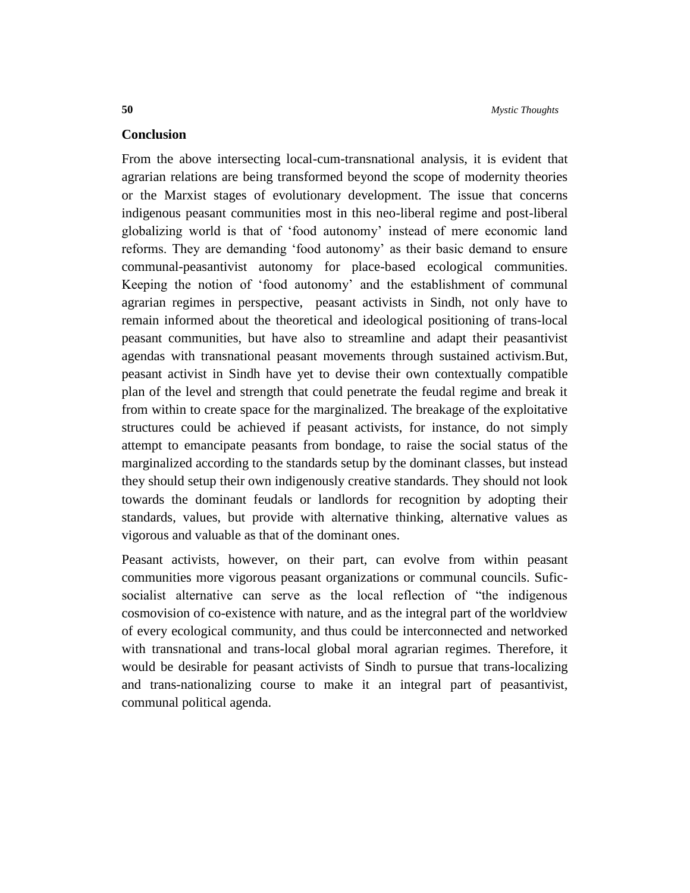### **Conclusion**

From the above intersecting local-cum-transnational analysis, it is evident that agrarian relations are being transformed beyond the scope of modernity theories or the Marxist stages of evolutionary development. The issue that concerns indigenous peasant communities most in this neo-liberal regime and post-liberal globalizing world is that of "food autonomy" instead of mere economic land reforms. They are demanding 'food autonomy' as their basic demand to ensure communal-peasantivist autonomy for place-based ecological communities. Keeping the notion of "food autonomy" and the establishment of communal agrarian regimes in perspective, peasant activists in Sindh, not only have to remain informed about the theoretical and ideological positioning of trans-local peasant communities, but have also to streamline and adapt their peasantivist agendas with transnational peasant movements through sustained activism.But, peasant activist in Sindh have yet to devise their own contextually compatible plan of the level and strength that could penetrate the feudal regime and break it from within to create space for the marginalized. The breakage of the exploitative structures could be achieved if peasant activists, for instance, do not simply attempt to emancipate peasants from bondage, to raise the social status of the marginalized according to the standards setup by the dominant classes, but instead they should setup their own indigenously creative standards. They should not look towards the dominant feudals or landlords for recognition by adopting their standards, values, but provide with alternative thinking, alternative values as vigorous and valuable as that of the dominant ones.

Peasant activists, however, on their part, can evolve from within peasant communities more vigorous peasant organizations or communal councils. Suficsocialist alternative can serve as the local reflection of "the indigenous cosmovision of co-existence with nature, and as the integral part of the worldview of every ecological community, and thus could be interconnected and networked with transnational and trans-local global moral agrarian regimes. Therefore, it would be desirable for peasant activists of Sindh to pursue that trans-localizing and trans-nationalizing course to make it an integral part of peasantivist, communal political agenda.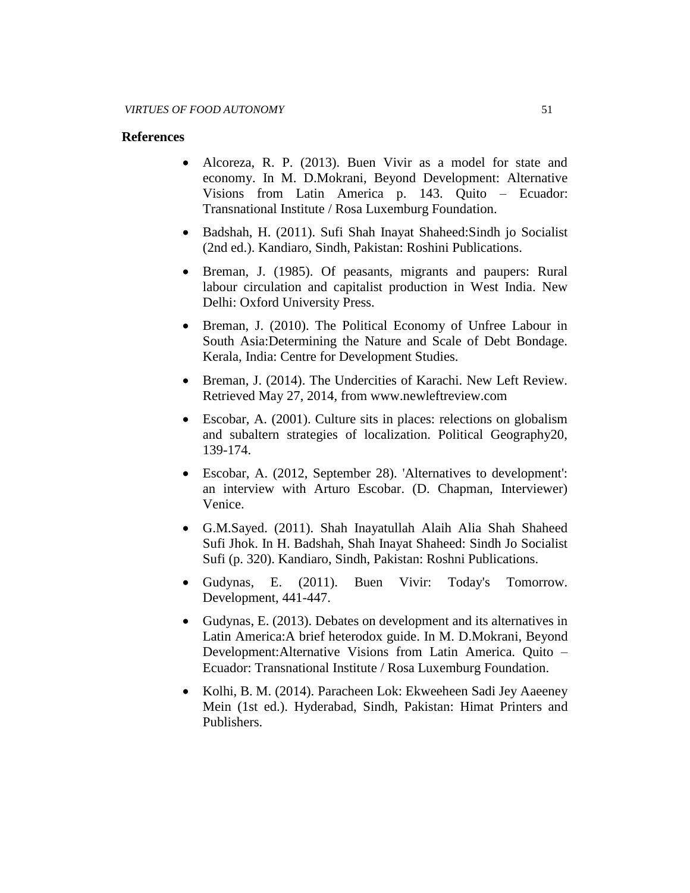### **References**

- Alcoreza, R. P. (2013). Buen Vivir as a model for state and economy. In M. D.Mokrani, Beyond Development: Alternative Visions from Latin America p. 143. Quito – Ecuador: Transnational Institute / Rosa Luxemburg Foundation.
- Badshah, H. (2011). Sufi Shah Inayat Shaheed: Sindh jo Socialist (2nd ed.). Kandiaro, Sindh, Pakistan: Roshini Publications.
- Breman, J. (1985). Of peasants, migrants and paupers: Rural labour circulation and capitalist production in West India. New Delhi: Oxford University Press.
- Breman, J. (2010). The Political Economy of Unfree Labour in South Asia:Determining the Nature and Scale of Debt Bondage. Kerala, India: Centre for Development Studies.
- Breman, J. (2014). The Undercities of Karachi. New Left Review. Retrieved May 27, 2014, from www.newleftreview.com
- Escobar, A. (2001). Culture sits in places: relections on globalism and subaltern strategies of localization. Political Geography20, 139-174.
- Escobar, A. (2012, September 28). 'Alternatives to development': an interview with Arturo Escobar. (D. Chapman, Interviewer) Venice.
- G.M.Sayed. (2011). Shah Inayatullah Alaih Alia Shah Shaheed Sufi Jhok. In H. Badshah, Shah Inayat Shaheed: Sindh Jo Socialist Sufi (p. 320). Kandiaro, Sindh, Pakistan: Roshni Publications.
- Gudynas, E. (2011). Buen Vivir: Today's Tomorrow. Development, 441-447.
- Gudynas, E. (2013). Debates on development and its alternatives in Latin America:A brief heterodox guide. In M. D.Mokrani, Beyond Development:Alternative Visions from Latin America. Quito – Ecuador: Transnational Institute / Rosa Luxemburg Foundation.
- Kolhi, B. M. (2014). Paracheen Lok: Ekweeheen Sadi Jey Aaeeney Mein (1st ed.). Hyderabad, Sindh, Pakistan: Himat Printers and Publishers.